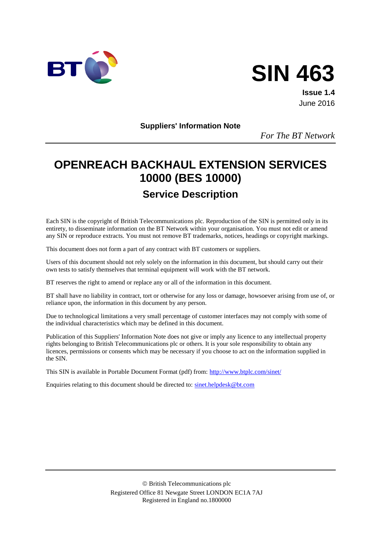



**Issue 1.4** June 2016

**Suppliers' Information Note**

*For The BT Network*

# **OPENREACH BACKHAUL EXTENSION SERVICES 10000 (BES 10000) Service Description**

Each SIN is the copyright of British Telecommunications plc. Reproduction of the SIN is permitted only in its entirety, to disseminate information on the BT Network within your organisation. You must not edit or amend any SIN or reproduce extracts. You must not remove BT trademarks, notices, headings or copyright markings.

This document does not form a part of any contract with BT customers or suppliers.

Users of this document should not rely solely on the information in this document, but should carry out their own tests to satisfy themselves that terminal equipment will work with the BT network.

BT reserves the right to amend or replace any or all of the information in this document.

BT shall have no liability in contract, tort or otherwise for any loss or damage, howsoever arising from use of, or reliance upon, the information in this document by any person.

Due to technological limitations a very small percentage of customer interfaces may not comply with some of the individual characteristics which may be defined in this document.

Publication of this Suppliers' Information Note does not give or imply any licence to any intellectual property rights belonging to British Telecommunications plc or others. It is your sole responsibility to obtain any licences, permissions or consents which may be necessary if you choose to act on the information supplied in the SIN.

This SIN is available in Portable Document Format (pdf) from:<http://www.btplc.com/sinet/>

Enquiries relating to this document should be directed to: [sinet.helpdesk@bt.com](mailto:sinet.helpdesk@bt.com)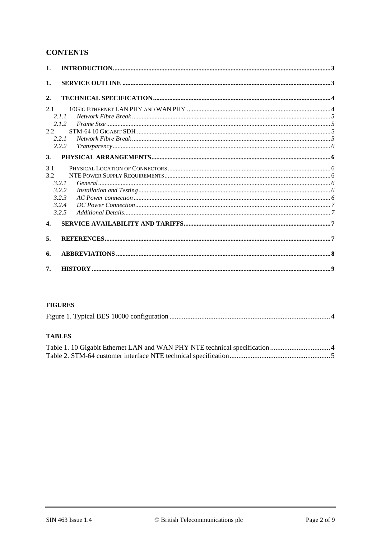### **CONTENTS**

| $\mathbf{1}$ . |       |  |
|----------------|-------|--|
| 1.             |       |  |
| 2.             |       |  |
| 2.1            |       |  |
|                | 2.1.1 |  |
|                | 2.1.2 |  |
| $2.2^{\circ}$  |       |  |
|                | 2.2.1 |  |
|                | 2.2.2 |  |
| 3.             |       |  |
| 3.1            |       |  |
| 3.2            |       |  |
|                | 3.2.1 |  |
|                | 3.2.2 |  |
|                | 3.2.3 |  |
|                | 3.2.4 |  |
|                | 3.2.5 |  |
| $\mathbf{4}$   |       |  |
| 5.             |       |  |
| 6.             |       |  |
| 7.             |       |  |

#### **FIGURES**

#### **TABLES**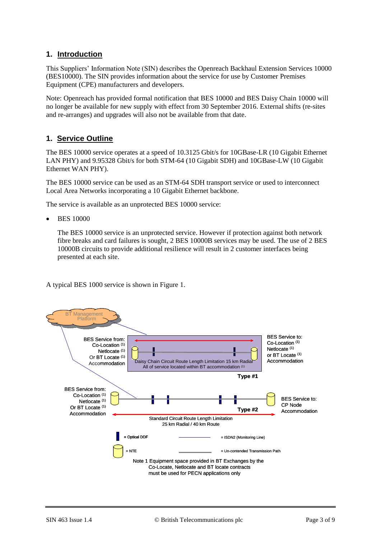### **1. Introduction**

This Suppliers' Information Note (SIN) describes the Openreach Backhaul Extension Services 10000 (BES10000). The SIN provides information about the service for use by Customer Premises Equipment (CPE) manufacturers and developers.

Note: Openreach has provided formal notification that BES 10000 and BES Daisy Chain 10000 will no longer be available for new supply with effect from 30 September 2016. External shifts (re-sites and re-arranges) and upgrades will also not be available from that date.

### **1. Service Outline**

The BES 10000 service operates at a speed of 10.3125 Gbit/s for 10GBase-LR (10 Gigabit Ethernet LAN PHY) and 9.95328 Gbit/s for both STM-64 (10 Gigabit SDH) and 10GBase-LW (10 Gigabit Ethernet WAN PHY).

The BES 10000 service can be used as an STM-64 SDH transport service or used to interconnect Local Area Networks incorporating a 10 Gigabit Ethernet backbone.

The service is available as an unprotected BES 10000 service:

BES 10000

The BES 10000 service is an unprotected service. However if protection against both network fibre breaks and card failures is sought, 2 BES 10000B services may be used. The use of 2 BES 10000B circuits to provide additional resilience will result in 2 customer interfaces being presented at each site.

A typical BES 1000 service is shown in [Figure 1.](#page-3-0)

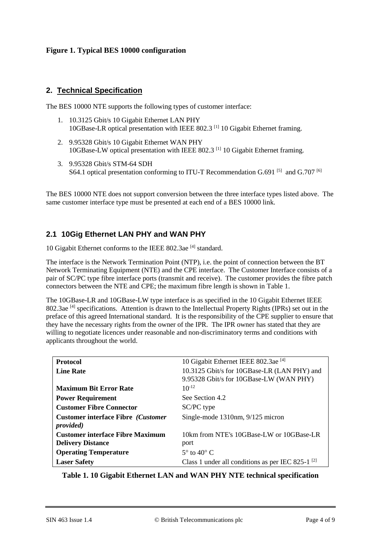#### <span id="page-3-0"></span>**Figure 1. Typical BES 10000 configuration**

#### **2. Technical Specification**

The BES 10000 NTE supports the following types of customer interface:

- 1. 10.3125 Gbit/s 10 Gigabit Ethernet LAN PHY 10GBase-LR optical presentation with IEEE 802.3 [\[1\]](#page-6-0) 10 Gigabit Ethernet framing.
- 2. 9.95328 Gbit/s 10 Gigabit Ethernet WAN PHY 10GBase-LW optical presentation with IEEE 802.3 [\[1\]](#page-6-0) 10 Gigabit Ethernet framing.
- 3. 9.95328 Gbit/s STM-64 SDH S64.1 optical presentation conforming to ITU-T Recommendation G.691  $[5]$  and G.707  $[6]$

The BES 10000 NTE does not support conversion between the three interface types listed above. The same customer interface type must be presented at each end of a BES 10000 link.

### **2.1 10Gig Ethernet LAN PHY and WAN PHY**

10 Gigabit Ethernet conforms to the IEEE 802.3ae<sup>[\[4\]](#page-7-2)</sup> standard.

The interface is the Network Termination Point (NTP), i.e. the point of connection between the BT Network Terminating Equipment (NTE) and the CPE interface. The Customer Interface consists of a pair of SC/PC type fibre interface ports (transmit and receive). The customer provides the fibre patch connectors between the NTE and CPE; the maximum fibre length is shown in [Table 1.](#page-3-1)

The 10GBase-LR and 10GBase-LW type interface is as specified in the 10 Gigabit Ethernet IEEE 802.3ae<sup>[\[4\]](#page-7-2)</sup> specifications. Attention is drawn to the Intellectual Property Rights (IPRs) set out in the preface of this agreed International standard. It is the responsibility of the CPE supplier to ensure that they have the necessary rights from the owner of the IPR. The IPR owner has stated that they are willing to negotiate licences under reasonable and non-discriminatory terms and conditions with applicants throughout the world.

| <b>Protocol</b>                                                 | 10 Gigabit Ethernet IEEE 802.3ae <sup>[4]</sup>        |
|-----------------------------------------------------------------|--------------------------------------------------------|
| <b>Line Rate</b>                                                | 10.3125 Gbit/s for 10GBase-LR (LAN PHY) and            |
|                                                                 | 9.95328 Gbit/s for 10GBase-LW (WAN PHY)                |
| <b>Maximum Bit Error Rate</b>                                   | $10^{-12}$                                             |
| <b>Power Requirement</b>                                        | See Section 4.2                                        |
| <b>Customer Fibre Connector</b>                                 | SC/PC type                                             |
| <b>Customer interface Fibre (Customer)</b><br><i>provided</i> ) | Single-mode 1310nm, 9/125 micron                       |
| <b>Customer interface Fibre Maximum</b>                         | 10km from NTE's 10GBase-LW or 10GBase-LR               |
| <b>Delivery Distance</b>                                        | port                                                   |
| <b>Operating Temperature</b>                                    | $5^\circ$ to $40^\circ$ C                              |
| <b>Laser Safety</b>                                             | Class 1 under all conditions as per IEC 825-1 $^{[2]}$ |

<span id="page-3-1"></span>**Table 1. 10 Gigabit Ethernet LAN and WAN PHY NTE technical specification**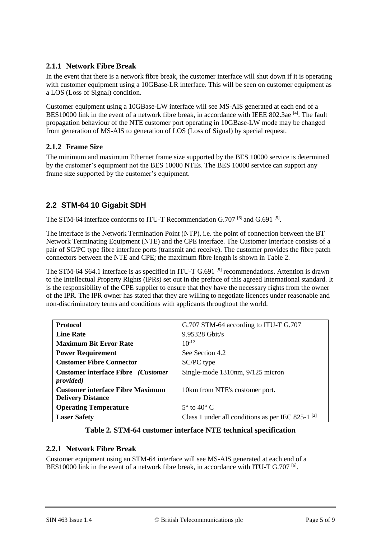### **2.1.1 Network Fibre Break**

In the event that there is a network fibre break, the customer interface will shut down if it is operating with customer equipment using a 10GBase-LR interface. This will be seen on customer equipment as a LOS (Loss of Signal) condition.

Customer equipment using a 10GBase-LW interface will see MS-AIS generated at each end of a BES10000 link in the event of a network fibre break, in accordance with IEEE 802.3ae [\[4\]](#page-7-2). The fault propagation behaviour of the NTE customer port operating in 10GBase-LW mode may be changed from generation of MS-AIS to generation of LOS (Loss of Signal) by special request.

#### **2.1.2 Frame Size**

The minimum and maximum Ethernet frame size supported by the BES 10000 service is determined by the customer's equipment not the BES 10000 NTEs. The BES 10000 service can support any frame size supported by the customer's equipment.

### **2.2 STM-64 10 Gigabit SDH**

The STM-64 interface conforms to ITU-T Recommendation G.707 <sup>[6]</sup> and G.691 <sup>[\[5\]](#page-7-0)</sup>.

The interface is the Network Termination Point (NTP), i.e. the point of connection between the BT Network Terminating Equipment (NTE) and the CPE interface. The Customer Interface consists of a pair of SC/PC type fibre interface ports (transmit and receive). The customer provides the fibre patch connectors between the NTE and CPE; the maximum fibre length is shown in [Table 2.](#page-4-0)

The STM-64 S64.1 interface is as specified in ITU-T G.691<sup>[\[5\]](#page-7-0)</sup> recommendations. Attention is drawn to the Intellectual Property Rights (IPRs) set out in the preface of this agreed International standard. It is the responsibility of the CPE supplier to ensure that they have the necessary rights from the owner of the IPR. The IPR owner has stated that they are willing to negotiate licences under reasonable and non-discriminatory terms and conditions with applicants throughout the world.

| <b>Protocol</b>                                                          | G.707 STM-64 according to ITU-T G.707                  |
|--------------------------------------------------------------------------|--------------------------------------------------------|
| <b>Line Rate</b>                                                         | 9.95328 Gbit/s                                         |
| <b>Maximum Bit Error Rate</b>                                            | $10^{-12}$                                             |
| <b>Power Requirement</b>                                                 | See Section 4.2                                        |
| <b>Customer Fibre Connector</b>                                          | SC/PC type                                             |
| <b>Customer interface Fibre</b> ( <i>Customer</i> )<br><i>provided</i> ) | Single-mode 1310nm, 9/125 micron                       |
| <b>Customer interface Fibre Maximum</b>                                  | 10km from NTE's customer port.                         |
| <b>Delivery Distance</b>                                                 |                                                        |
| <b>Operating Temperature</b>                                             | $5^\circ$ to $40^\circ$ C                              |
| <b>Laser Safety</b>                                                      | Class 1 under all conditions as per IEC 825-1 $^{[2]}$ |

#### **Table 2. STM-64 customer interface NTE technical specification**

#### <span id="page-4-0"></span>**2.2.1 Network Fibre Break**

Customer equipment using an STM-64 interface will see MS-AIS generated at each end of a BES10000 link in the event of a network fibre break, in accordance with ITU-T G.707 <sup>[\[6\]](#page-7-1)</sup>.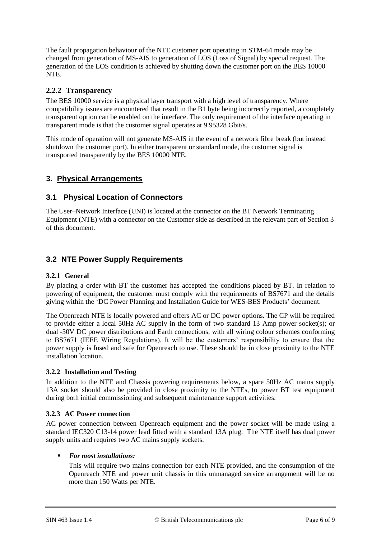The fault propagation behaviour of the NTE customer port operating in STM-64 mode may be changed from generation of MS-AIS to generation of LOS (Loss of Signal) by special request. The generation of the LOS condition is achieved by shutting down the customer port on the BES 10000 NTE.

### **2.2.2 Transparency**

The BES 10000 service is a physical layer transport with a high level of transparency. Where compatibility issues are encountered that result in the B1 byte being incorrectly reported, a completely transparent option can be enabled on the interface. The only requirement of the interface operating in transparent mode is that the customer signal operates at 9.95328 Gbit/s.

This mode of operation will not generate MS-AIS in the event of a network fibre break (but instead shutdown the customer port). In either transparent or standard mode, the customer signal is transported transparently by the BES 10000 NTE.

### **3. Physical Arrangements**

#### **3.1 Physical Location of Connectors**

The User–Network Interface (UNI) is located at the connector on the BT Network Terminating Equipment (NTE) with a connector on the Customer side as described in the relevant part of Section 3 of this document.

### **3.2 NTE Power Supply Requirements**

#### **3.2.1 General**

By placing a order with BT the customer has accepted the conditions placed by BT. In relation to powering of equipment, the customer must comply with the requirements of BS7671 and the details giving within the 'DC Power Planning and Installation Guide for WES-BES Products' document.

The Openreach NTE is locally powered and offers AC or DC power options. The CP will be required to provide either a local 50Hz AC supply in the form of two standard 13 Amp power socket(s); or dual -50V DC power distributions and Earth connections, with all wiring colour schemes conforming to BS7671 (IEEE Wiring Regulations). It will be the customers' responsibility to ensure that the power supply is fused and safe for Openreach to use. These should be in close proximity to the NTE installation location.

#### **3.2.2 Installation and Testing**

In addition to the NTE and Chassis powering requirements below, a spare 50Hz AC mains supply 13A socket should also be provided in close proximity to the NTEs, to power BT test equipment during both initial commissioning and subsequent maintenance support activities.

#### **3.2.3 AC Power connection**

AC power connection between Openreach equipment and the power socket will be made using a standard IEC320 C13-14 power lead fitted with a standard 13A plug. The NTE itself has dual power supply units and requires two AC mains supply sockets.

#### *For most installations:*

This will require two mains connection for each NTE provided, and the consumption of the Openreach NTE and power unit chassis in this unmanaged service arrangement will be no more than 150 Watts per NTE.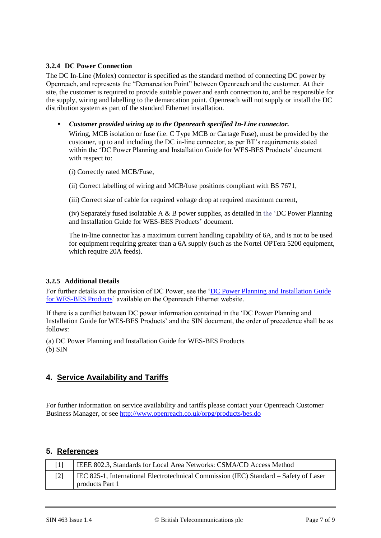#### **3.2.4 DC Power Connection**

The DC In-Line (Molex) connector is specified as the standard method of connecting DC power by Openreach, and represents the "Demarcation Point" between Openreach and the customer. At their site, the customer is required to provide suitable power and earth connection to, and be responsible for the supply, wiring and labelling to the demarcation point. Openreach will not supply or install the DC distribution system as part of the standard Ethernet installation.

*Customer provided wiring up to the Openreach specified In-Line connector.*

Wiring, MCB isolation or fuse (i.e. C Type MCB or Cartage Fuse), must be provided by the customer, up to and including the DC in-line connector, as per BT's requirements stated within the 'DC Power Planning and Installation Guide for WES-BES Products' document with respect to:

(i) Correctly rated MCB/Fuse,

(ii) Correct labelling of wiring and MCB/fuse positions compliant with BS 7671,

(iii) Correct size of cable for required voltage drop at required maximum current,

(iv) Separately fused isolatable A  $\&$  B power supplies, as detailed in the 'DC Power Planning and Installation Guide for WES-BES Products' document.

The in-line connector has a maximum current handling capability of 6A, and is not to be used for equipment requiring greater than a 6A supply (such as the Nortel OPTera 5200 equipment, which require 20A feeds).

#### **3.2.5 Additional Details**

For further details on the provision of DC Power, see the ['DC Power Planning and Installation Guide](https://www.openreach.co.uk/orpg/home/newlogin.do?smauthreason=0&target=http%3A%2F%2Fwww.openreach.co.uk%2Forpg%2Fcustomerzone%2Fproducts%2Fethernetservices%2Fethernetaccessdirect%2Fdescription%2Fsupplementaryinformation%2Fsupplementaryinfo.do&fromMasterHead=1)  [for WES-BES Products'](https://www.openreach.co.uk/orpg/home/newlogin.do?smauthreason=0&target=http%3A%2F%2Fwww.openreach.co.uk%2Forpg%2Fcustomerzone%2Fproducts%2Fethernetservices%2Fethernetaccessdirect%2Fdescription%2Fsupplementaryinformation%2Fsupplementaryinfo.do&fromMasterHead=1) available on the Openreach Ethernet website.

If there is a conflict between DC power information contained in the 'DC Power Planning and Installation Guide for WES-BES Products' and the SIN document, the order of precedence shall be as follows:

(a) DC Power Planning and Installation Guide for WES-BES Products (b) SIN

#### **4. Service Availability and Tariffs**

For further information on service availability and tariffs please contact your Openreach Customer Business Manager, or see<http://www.openreach.co.uk/orpg/products/bes.do>

#### **5. References**

<span id="page-6-1"></span><span id="page-6-0"></span>

| $\lceil 1 \rceil$ | IEEE 802.3, Standards for Local Area Networks: CSMA/CD Access Method                                     |
|-------------------|----------------------------------------------------------------------------------------------------------|
| $[2]$             | IEC 825-1, International Electrotechnical Commission (IEC) Standard – Safety of Laser<br>products Part 1 |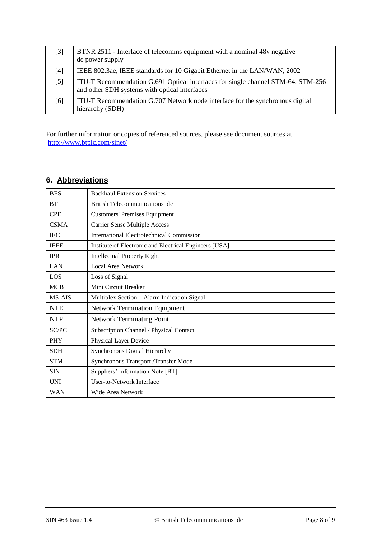<span id="page-7-2"></span><span id="page-7-0"></span>

| $[3]$ | BTNR 2511 - Interface of telecomms equipment with a nominal 48y negative<br>dc power supply                                       |
|-------|-----------------------------------------------------------------------------------------------------------------------------------|
| $[4]$ | IEEE 802.3ae, IEEE standards for 10 Gigabit Ethernet in the LAN/WAN, 2002                                                         |
| $[5]$ | ITU-T Recommendation G.691 Optical interfaces for single channel STM-64, STM-256<br>and other SDH systems with optical interfaces |
| [6]   | ITU-T Recommendation G.707 Network node interface for the synchronous digital<br>hierarchy (SDH)                                  |

<span id="page-7-1"></span>For further information or copies of referenced sources, please see document sources at <http://www.btplc.com/sinet/>

## **6. Abbreviations**

| <b>BES</b>  | <b>Backhaul Extension Services</b>                     |
|-------------|--------------------------------------------------------|
| <b>BT</b>   | British Telecommunications plc                         |
| <b>CPE</b>  | <b>Customers' Premises Equipment</b>                   |
| <b>CSMA</b> | <b>Carrier Sense Multiple Access</b>                   |
| <b>IEC</b>  | <b>International Electrotechnical Commission</b>       |
| <b>IEEE</b> | Institute of Electronic and Electrical Engineers [USA] |
| <b>IPR</b>  | <b>Intellectual Property Right</b>                     |
| LAN         | Local Area Network                                     |
| LOS         | Loss of Signal                                         |
| <b>MCB</b>  | Mini Circuit Breaker                                   |
| MS-AIS      | Multiplex Section - Alarm Indication Signal            |
| <b>NTE</b>  | <b>Network Termination Equipment</b>                   |
| <b>NTP</b>  | <b>Network Terminating Point</b>                       |
| SC/PC       | Subscription Channel / Physical Contact                |
| <b>PHY</b>  | Physical Layer Device                                  |
| <b>SDH</b>  | Synchronous Digital Hierarchy                          |
| <b>STM</b>  | Synchronous Transport /Transfer Mode                   |
| <b>SIN</b>  | Suppliers' Information Note [BT]                       |
| <b>UNI</b>  | User-to-Network Interface                              |
| WAN         | Wide Area Network                                      |